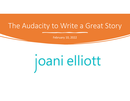# The Audacity to Write <sup>a</sup> Great Story

February 10, 2022

# joani elliott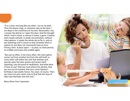"It is a silver morning like any other. I am at my desk. Then the phone rings, or someone raps at the door. I am deep in the machinery of my wits. Reluctantly I rise, II answer the phone or I open the door. And the thought which I had in hand, or almost in hand, is gone. Creative work needs solitude. It needs concentration, without interruptions. It needs the whole sky to fly in, and no eye watching until it comes to that certainty which it aspires to, but does not necessarily have at once. Privacy, then. A place apart — to pace, to chew pencils, to scribble and erase and scribble again.

"But just as often, if not more often, the interruption comes not from another but from the self itself, or some other self within the self, that whistles and pounds upon the door panels and tosses itself, splashing, into the pond of meditation. And what does it have to say? That you must phone the dentist, that you are out of mustard, that your uncle Stanley's birthday is two weeks hence. You react, of course. Then you return to your work, only to find that the imps of idea have fled back into the mist."

Mary Oliver from *Upstream*

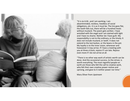

"It is six A.M., and I am working. I am absentminded, reckless, heedless of social obligations, etc. It is as it must be. The tire goes flat, the tooth falls out, there will be <sup>a</sup> hundred meals without mustard. The poem gets written. I have wrestled with the angel and I am stained with light and I have no shame. Neither do I have guilt. My responsibility is not to the ordinary, or the timely. It does not include mustard, or teeth. It does not extend to the lost button, or the beans in the pot. My loyalty is to the inner vision, whenever and howsoever it may arrive. If I have <sup>a</sup> meeting with you at three <sup>o</sup>'clock, rejoice if I am late. Rejoice even more if I do not arrive at all.

"There is no other way work of artistic worth can be done. And the occasional success, to the striver, is worth everything. The most regretful people on earth are those who felt the call to creative work, who felt their own creative power restive and uprising, and gave to it neither power nor time."

Mary Oliver from *Upstream*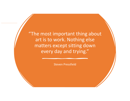"The most important thing about art is to work. Nothing else matters except sitting down every day and trying."

Steven Pressfield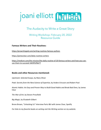

# The Audacity to Write a Great Story

## Writing Workshop: February 20, 2022 Resource Guide

#### **Famous Writers and Their Routines:**

<https://prowritingaid.com/writing-routines-famous-authors>

<https://jamesclear.com/daily-routines-writers>

[https://medium.com/the-mission/the-daily-routine-of-20-famous-writers-and-how-you-can](https://medium.com/the-mission/the-daily-routine-of-20-famous-writers-and-how-you-can-use-them-to-succeed-1603f52fbb77)[use-them-to-succeed-1603f52fbb77](https://medium.com/the-mission/the-daily-routine-of-20-famous-writers-and-how-you-can-use-them-to-succeed-1603f52fbb77)

#### **Books and other Resources mentioned:**

*Upstream: Selected Essays*, by Mary Oliver

*Peak: Secrets from the New Science of Expertise*, by Anders Ericsson and Robert Pool

*Atomic Habits: An Easy and Proven Way to Build Good Habits and Break Bad Ones*, by James Clear

*The War of Art*, by Steven Pressfield

*Big Magic*, by Elizabeth Gilbert

Brene Brown, "Unlocking Us" Interview Parts I&II with James Clear, Spotify

*For links to my favorite books on writing visit the Writing section on my website.*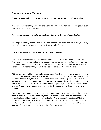#### **Quotes from Joani's Workshop:**

"You were made and set here to give voice to this, your own astonishment." Annie Dillard

"The most important thing about art is to work. Nothing else matters except sitting down every day and trying." Steven Pressfield

"Love words, agonize over sentences. And pay attention to the world." Susan Sontag

"Writing is something you do alone. It's a profession for introverts who want to tell you a story but don't want to make eye contact while doing it." John Green

"Put your ass where your heart wants to be." Steven Pressfield

"Resistance is experienced as fear; the degree of fear equates to the strength of Resistance. Therefore, the more fear we feel about a specific enterprise, the more certain we can be that that enterprise is important to us and to the growth of our soul. That's why we feel so much Resistance. If it meant nothing to us, there'd be no Resistance." Steven Pressfield

"It is a silver morning like any other. I am at my desk. Then the phone rings, or someone raps at the door. I am deep in the machinery of my wits. Reluctantly I rise, I answer the phone or I open the door. And the thought which I had in hand, or almost in hand, is gone. Creative work needs solitude. It needs concentration, without interruptions. It needs the whole sky to fly in, and no eye watching until it comes to that certainty which it aspires to, but does not necessarily have at once. Privacy, then. A place apart — to pace, to chew pencils, to scribble and erase and scribble again.

"But just as often, if not more often, the interruption comes not from another but from the self itself, or some other self within the self, that whistles and pounds upon the door panels and tosses itself, splashing, into the pond of meditation. And what does it have to say? That you must phone the dentist, that you are out of mustard, that your uncle Stanley's birthday is two weeks hence. You react, of course. Then you return to your work, only to find that the imps of idea have fled back into the mist." Mary Oliver from *Upstream*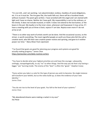"It is six A.M., and I am working. I am absentminded, reckless, heedless of social obligations, etc. It is as it must be. The tire goes flat, the tooth falls out, there will be a hundred meals without mustard. The poem gets written. I have wrestled with the angel and I am stained with light and I have no shame. Neither do I have guilt. My responsibility is not to the ordinary, or the timely. It does not include mustard, or teeth. It does not extend to the lost button, or the beans in the pot. My loyalty is to the inner vision, whenever and howsoever it may arrive. If I have a meeting with you at three o'clock, rejoice if I am late. Rejoice even more if I do not arrive at all.

"There is no other way work of artistic worth can be done. And the occasional success, to the striver, is worth everything. The most regretful people on earth are those who felt the call to creative work, who felt their own creative power restive and uprising, and gave to it neither power nor time." Mary Oliver from *Upstream*

"I've found that goals are good for planning your progress and systems are good for actually making progress." James Clear <https://jamesclear.com/daily-routines-writers>

"You have to decide what your highest priorities are and have the courage—pleasantly, smilingly, nonapologetically, to say "no" to other things. And the way you do that is by having a bigger "yes" burning inside. The enemy of the "best" is often the "good." Stephen Covey

"Every action you take is a vote for the type of person you wish to become. No single instance will transform your beliefs, but as the votes build up, so does the evidence of your new identity." James Clear

"You do not rise to the level of your goals. You fall to the level of your systems." James Clear

"My abandoned dreams were making a racket in my soul." Joy Harjo